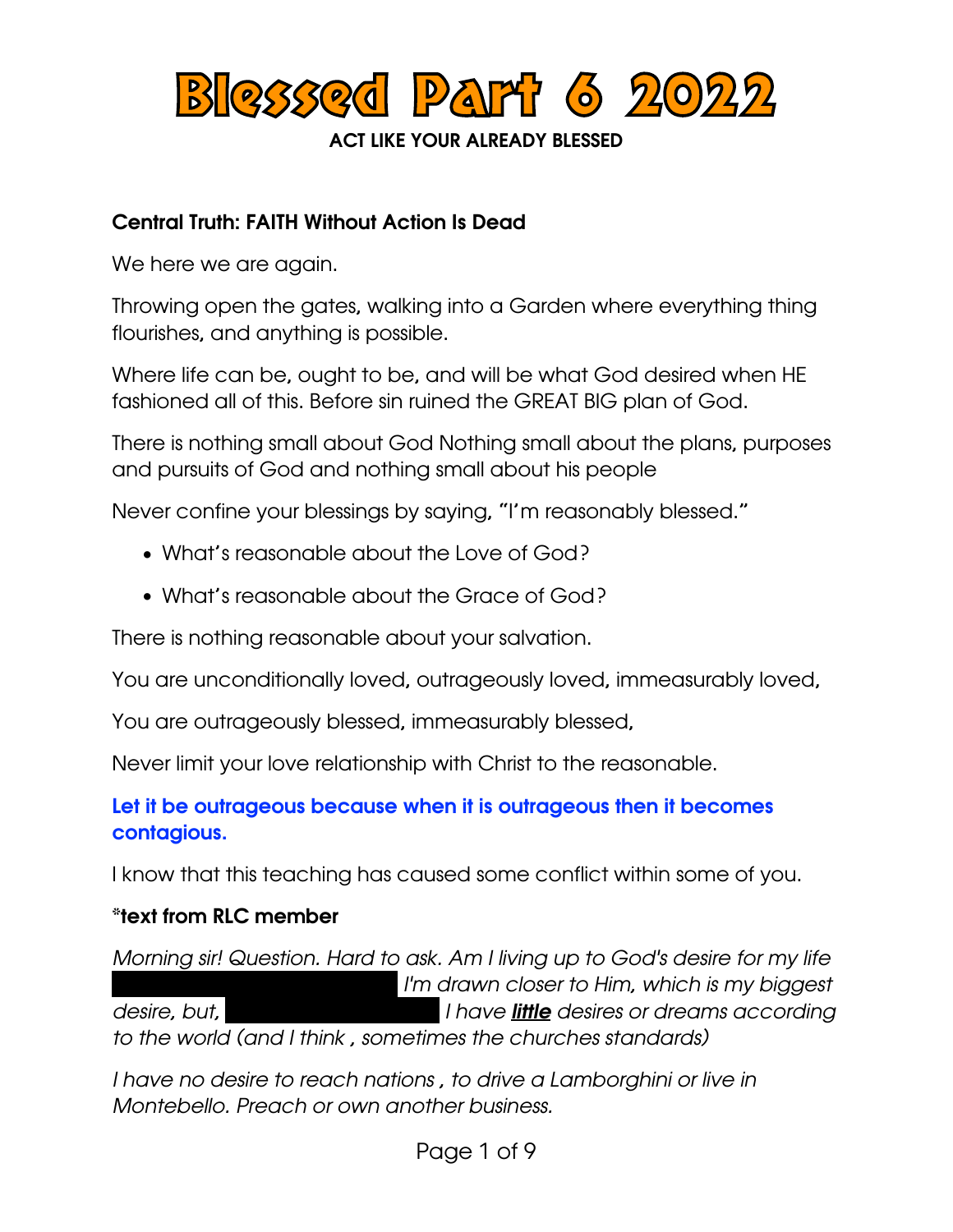

### Central Truth: FAITH Without Action Is Dead

We here we are again.

Throwing open the gates, walking into a Garden where everything thing flourishes, and anything is possible.

Where life can be, ought to be, and will be what God desired when HE fashioned all of this. Before sin ruined the GREAT BIG plan of God.

There is nothing small about God Nothing small about the plans, purposes and pursuits of God and nothing small about his people

Never confine your blessings by saying, "I'm reasonably blessed."

- What's reasonable about the Love of God?
- What's reasonable about the Grace of God?

There is nothing reasonable about your salvation.

You are unconditionally loved, outrageously loved, immeasurably loved,

You are outrageously blessed, immeasurably blessed,

Never limit your love relationship with Christ to the reasonable.

Let it be outrageous because when it is outrageous then it becomes contagious.

I know that this teaching has caused some conflict within some of you.

### \*text from RLC member

*Morning sir! Question. Hard to ask. Am I living up to God's desire for my life ( I'm drawn closer to Him, which is my biggest desire, but,*  $\frac{du}{dx}$  *lhave little desires or dreams according to the world (and I think , sometimes the churches standards)* 

*I have no desire to reach nations , to drive a Lamborghini or live in Montebello. Preach or own another business.* 

Page 1 of 9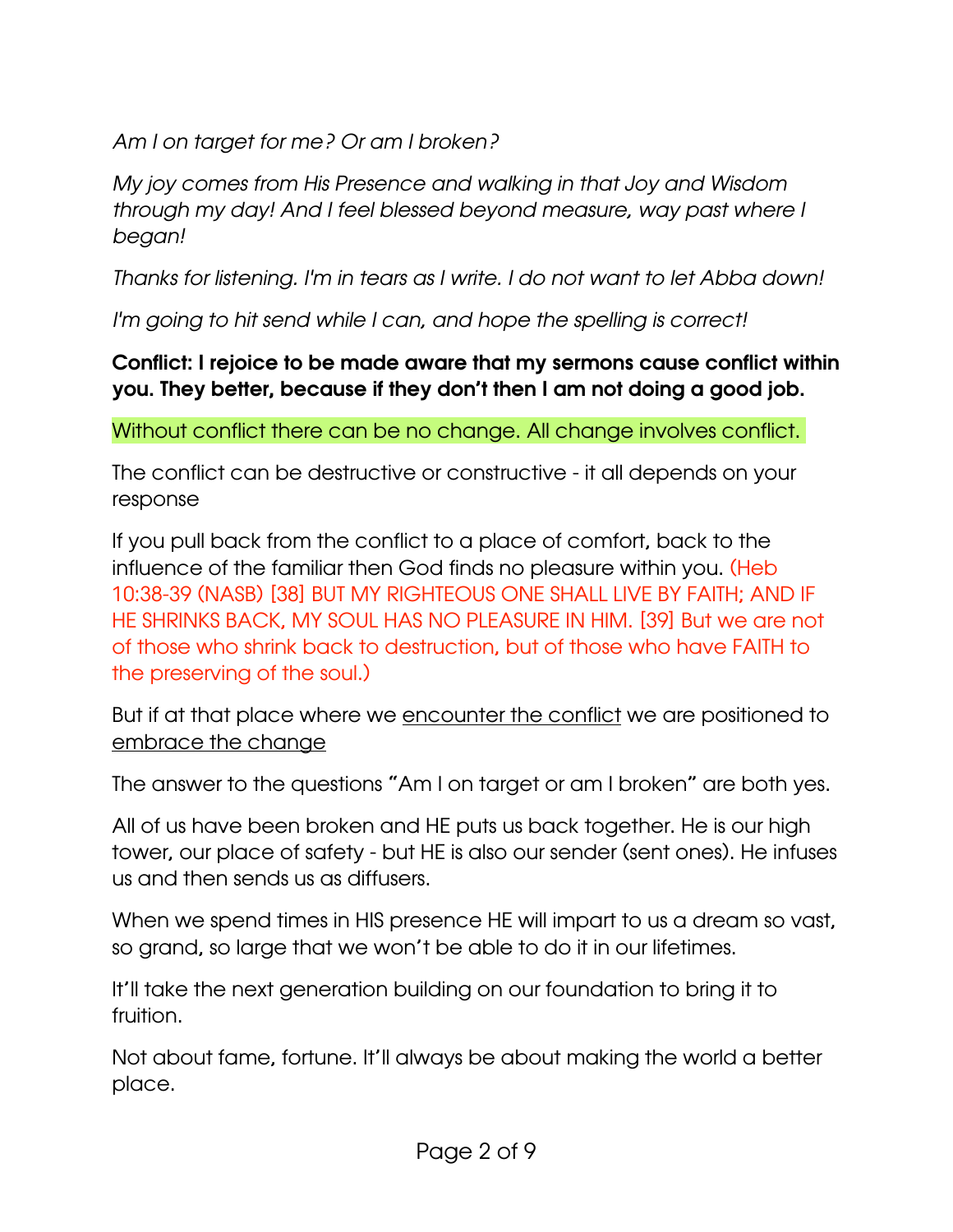*Am I on target for me? Or am I broken?*

*My joy comes from His Presence and walking in that Joy and Wisdom through my day! And I feel blessed beyond measure, way past where I began!*

*Thanks for listening. I'm in tears as I write. I do not want to let Abba down!*

*I'm going to hit send while I can, and hope the spelling is correct!* 

# Conflict: I rejoice to be made aware that my sermons cause conflict within you. They better, because if they don't then I am not doing a good job.

Without conflict there can be no change. All change involves conflict.

The conflict can be destructive or constructive - it all depends on your response

If you pull back from the conflict to a place of comfort, back to the influence of the familiar then God finds no pleasure within you. (Heb 10:38-39 (NASB) [38] BUT MY RIGHTEOUS ONE SHALL LIVE BY FAITH; AND IF HE SHRINKS BACK, MY SOUL HAS NO PLEASURE IN HIM. [39] But we are not of those who shrink back to destruction, but of those who have FAITH to the preserving of the soul.)

But if at that place where we encounter the conflict we are positioned to embrace the change

The answer to the questions "Am I on target or am I broken" are both yes.

All of us have been broken and HE puts us back together. He is our high tower, our place of safety - but HE is also our sender (sent ones). He infuses us and then sends us as diffusers.

When we spend times in HIS presence HE will impart to us a dream so vast, so grand, so large that we won't be able to do it in our lifetimes.

It'll take the next generation building on our foundation to bring it to fruition.

Not about fame, fortune. It'll always be about making the world a better place.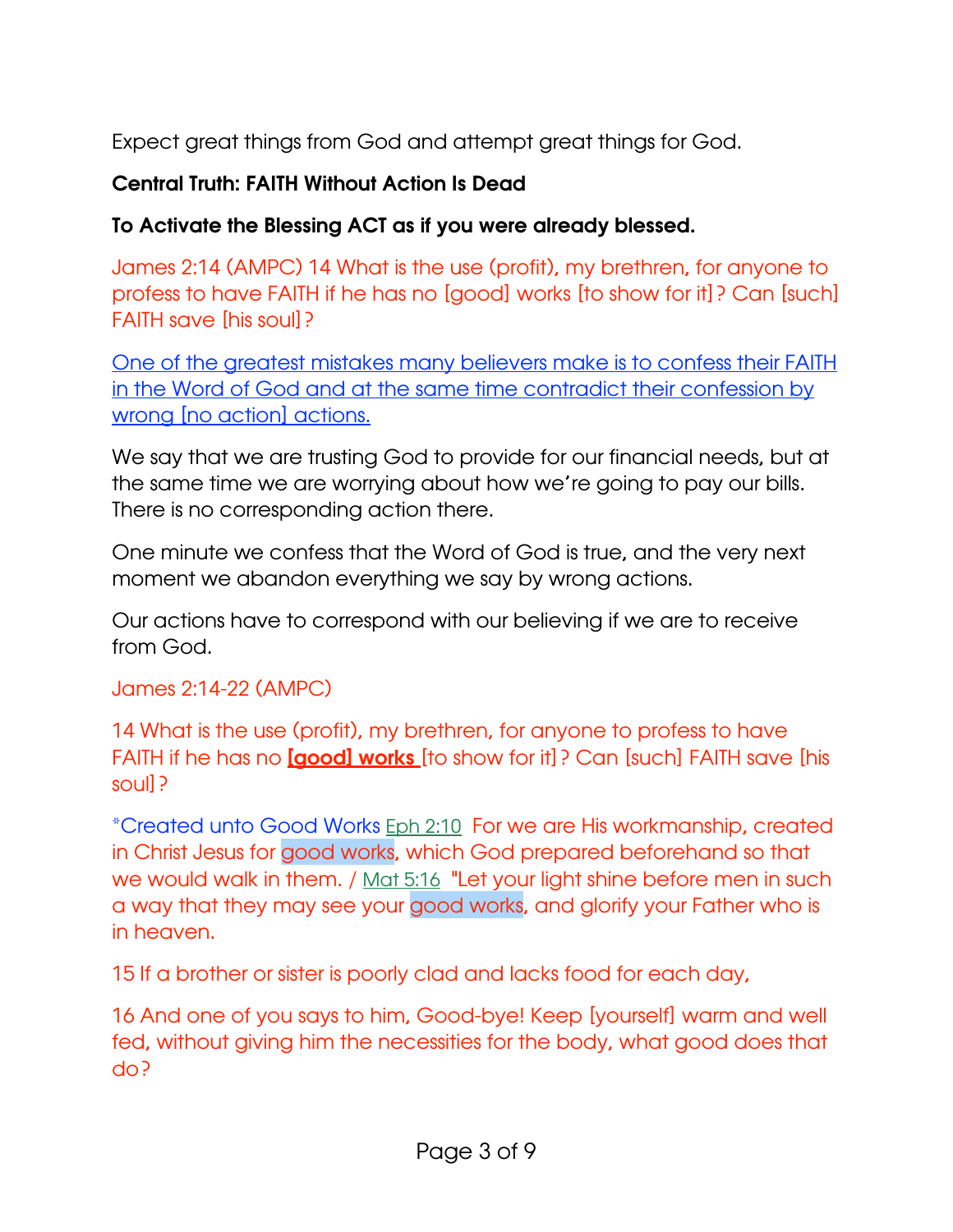Expect great things from God and attempt great things for God.

## Central Truth: FAITH Without Action Is Dead

### To Activate the Blessing ACT as if you were already blessed.

James 2:14 (AMPC) 14 What is the use (profit), my brethren, for anyone to profess to have FAITH if he has no [good] works [to show for it]? Can [such] FAITH save [his soul]?

One of the greatest mistakes many believers make is to confess their FAITH in the Word of God and at the same time contradict their confession by wrong [no action] actions.

We say that we are trusting God to provide for our financial needs, but at the same time we are worrying about how we're going to pay our bills. There is no corresponding action there.

One minute we confess that the Word of God is true, and the very next moment we abandon everything we say by wrong actions.

Our actions have to correspond with our believing if we are to receive from God.

### James 2:14-22 (AMPC)

14 What is the use (profit), my brethren, for anyone to profess to have FAITH if he has no **[good] works** [to show for it]? Can [such] FAITH save [his soul]?

\*Created unto Good Works [Eph 2:10](verseid:49.2.10) For we are His workmanship, created in Christ Jesus for good works, which God prepared beforehand so that we would walk in them. / [Mat 5:16](verseid:40.5.16) "Let your light shine before men in such a way that they may see your good works, and glorify your Father who is in heaven.

15 If a brother or sister is poorly clad and lacks food for each day,

16 And one of you says to him, Good-bye! Keep [yourself] warm and well fed, without giving him the necessities for the body, what good does that do?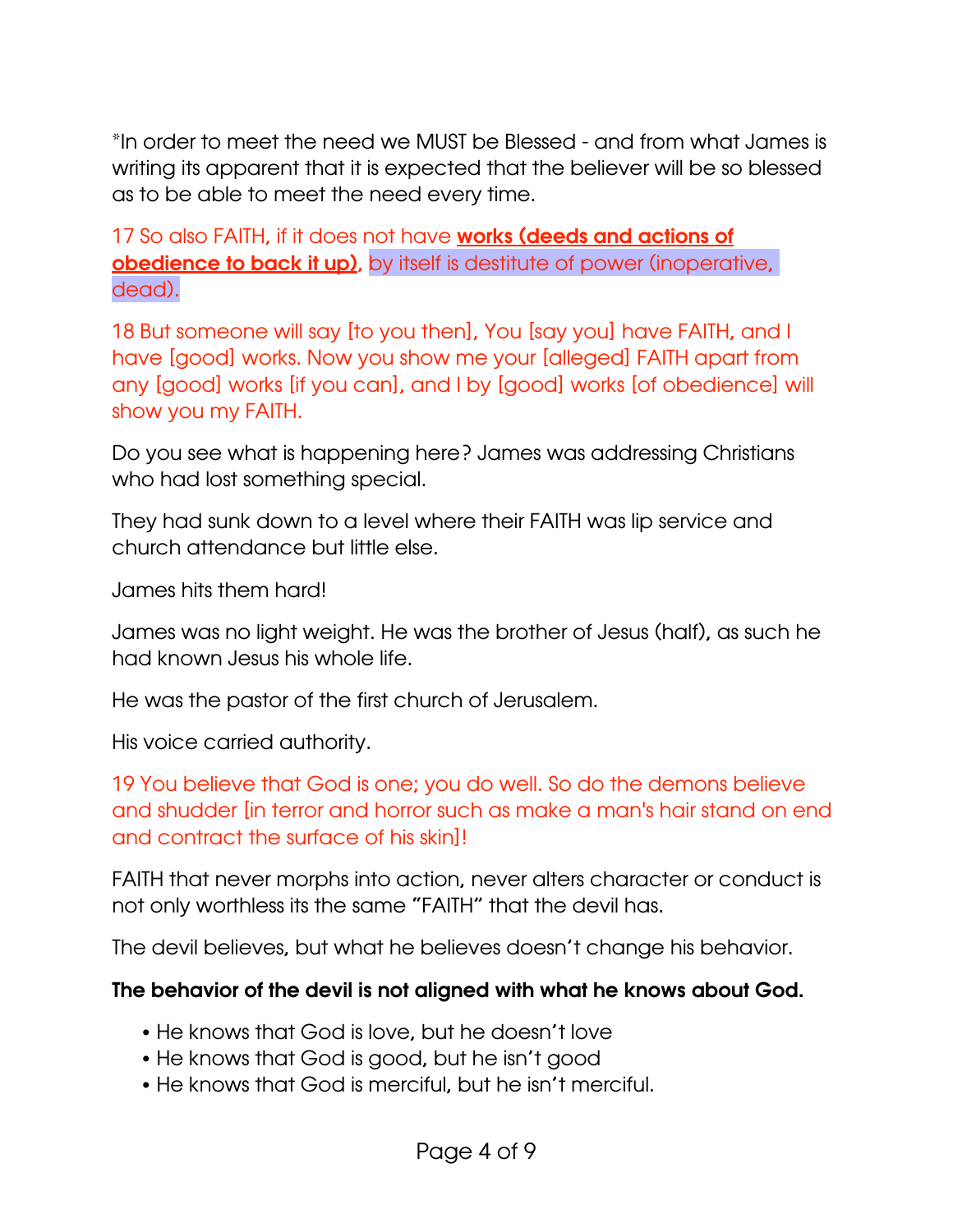\*In order to meet the need we MUST be Blessed - and from what James is writing its apparent that it is expected that the believer will be so blessed as to be able to meet the need every time.

17 So also FAITH, if it does not have **works (deeds and actions of** obedience to back it up), by itself is destitute of power (inoperative, dead).

18 But someone will say [to you then], You [say you] have FAITH, and I have [good] works. Now you show me your [alleged] FAITH apart from any [good] works [if you can], and I by [good] works [of obedience] will show you my FAITH.

Do you see what is happening here? James was addressing Christians who had lost something special.

They had sunk down to a level where their FAITH was lip service and church attendance but little else.

James hits them hard!

James was no light weight. He was the brother of Jesus (half), as such he had known Jesus his whole life.

He was the pastor of the first church of Jerusalem.

His voice carried authority.

19 You believe that God is one; you do well. So do the demons believe and shudder [in terror and horror such as make a man's hair stand on end and contract the surface of his skin]!

FAITH that never morphs into action, never alters character or conduct is not only worthless its the same "FAITH" that the devil has.

The devil believes, but what he believes doesn't change his behavior.

### The behavior of the devil is not aligned with what he knows about God.

- He knows that God is love, but he doesn't love
- He knows that God is good, but he isn't good
- He knows that God is merciful, but he isn't merciful.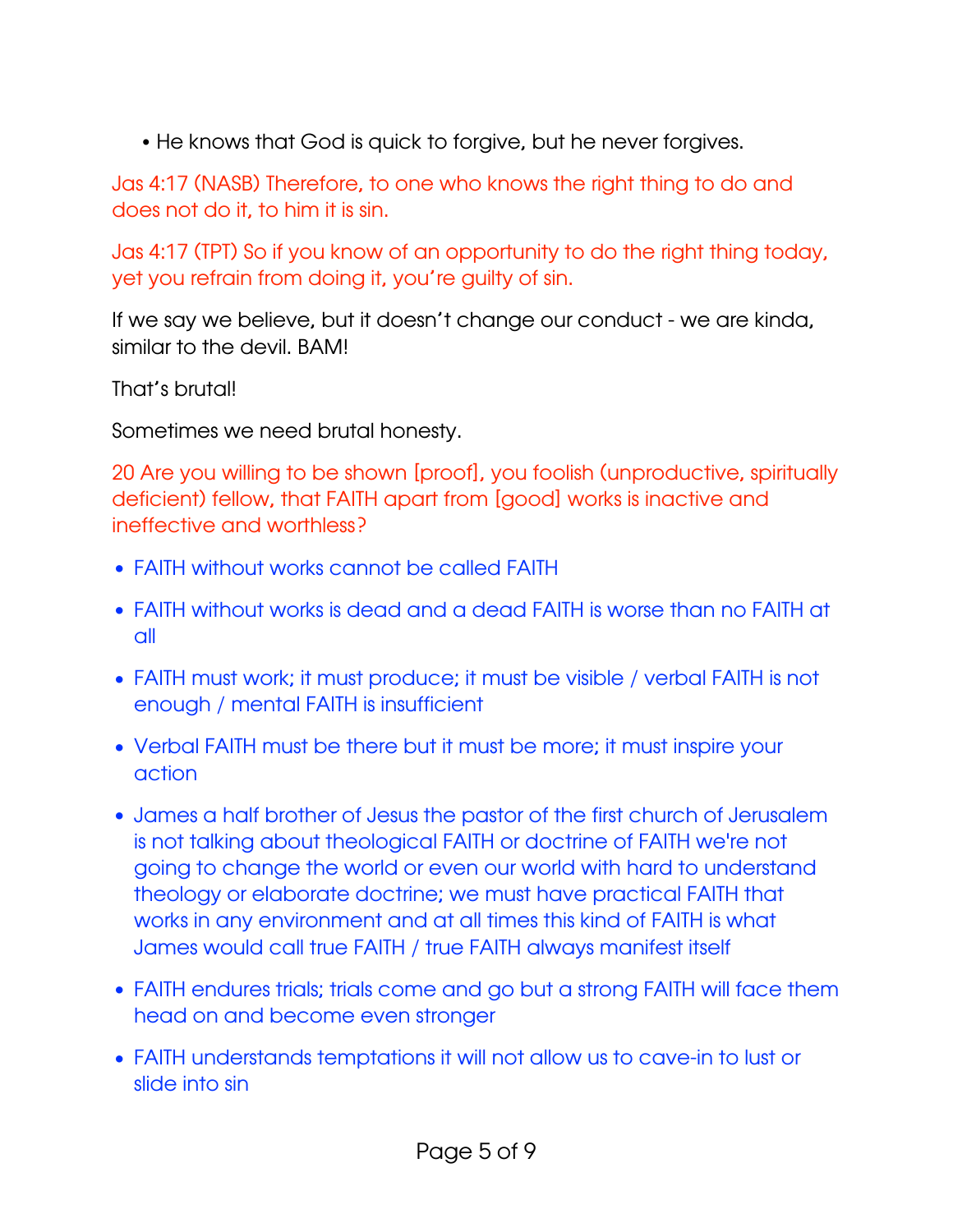• He knows that God is quick to forgive, but he never forgives.

Jas 4:17 (NASB) Therefore, to one who knows the right thing to do and does not do it, to him it is sin.

Jas 4:17 (TPT) So if you know of an opportunity to do the right thing today, yet you refrain from doing it, you're guilty of sin.

If we say we believe, but it doesn't change our conduct - we are kinda, similar to the devil. BAM!

That's brutal!

Sometimes we need brutal honesty.

20 Are you willing to be shown [proof], you foolish (unproductive, spiritually deficient) fellow, that FAITH apart from [good] works is inactive and ineffective and worthless?

- FAITH without works cannot be called FAITH
- FAITH without works is dead and a dead FAITH is worse than no FAITH at all
- FAITH must work; it must produce; it must be visible / verbal FAITH is not enough / mental FAITH is insufficient
- Verbal FAITH must be there but it must be more; it must inspire your action
- James a half brother of Jesus the pastor of the first church of Jerusalem is not talking about theological FAITH or doctrine of FAITH we're not going to change the world or even our world with hard to understand theology or elaborate doctrine; we must have practical FAITH that works in any environment and at all times this kind of FAITH is what James would call true FAITH / true FAITH always manifest itself
- FAITH endures trials; trials come and go but a strong FAITH will face them head on and become even stronger
- FAITH understands temptations it will not allow us to cave-in to lust or slide into sin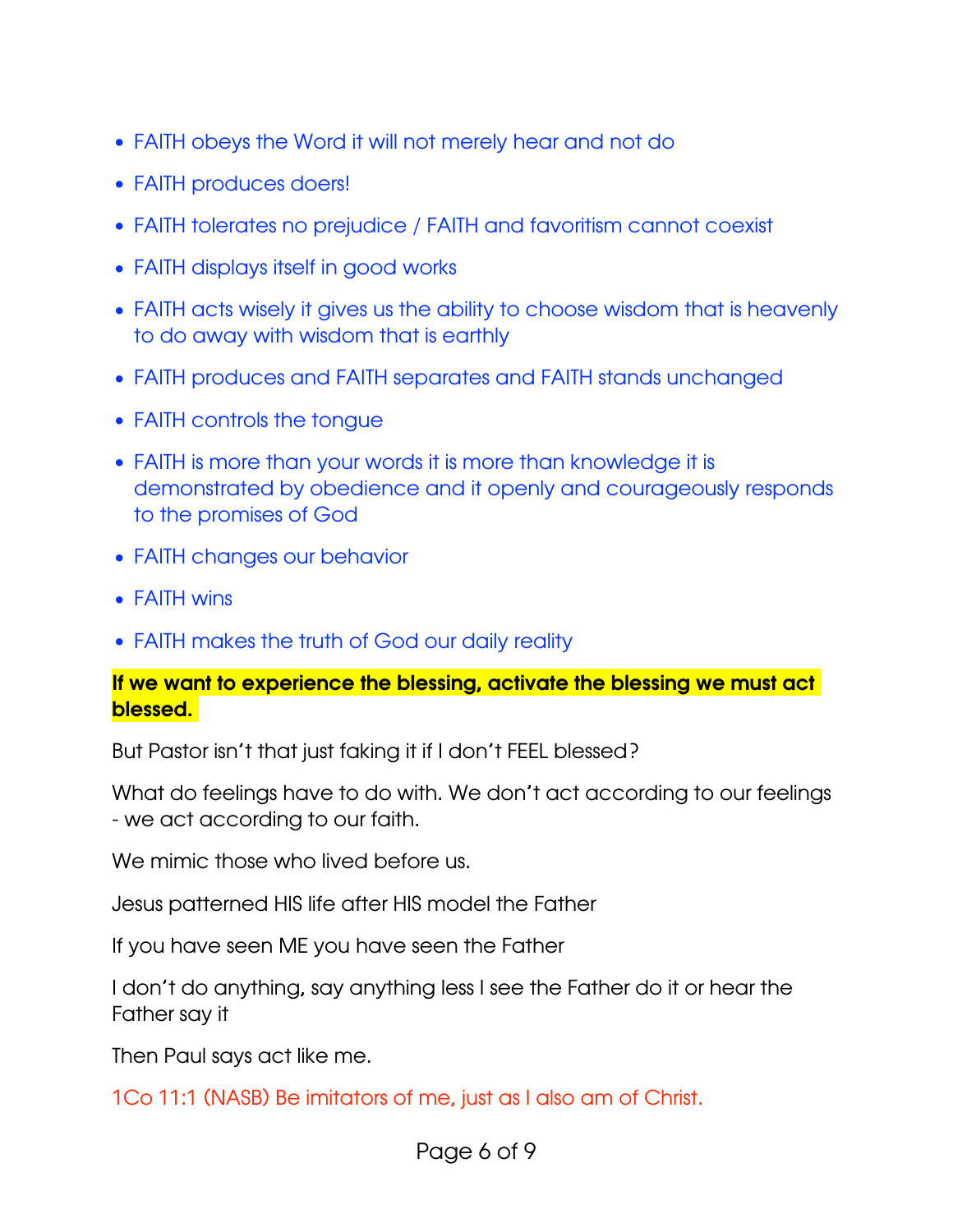- FAITH obeys the Word it will not merely hear and not do
- FAITH produces doers!
- FAITH tolerates no prejudice / FAITH and favoritism cannot coexist
- FAITH displays itself in good works
- FAITH acts wisely it gives us the ability to choose wisdom that is heavenly to do away with wisdom that is earthly
- FAITH produces and FAITH separates and FAITH stands unchanged
- FAITH controls the tongue
- FAITH is more than your words it is more than knowledge it is demonstrated by obedience and it openly and courageously responds to the promises of God
- FAITH changes our behavior
- FAITH wins
- FAITH makes the truth of God our daily reality

#### If we want to experience the blessing, activate the blessing we must act blessed.

But Pastor isn't that just faking it if I don't FEEL blessed?

What do feelings have to do with. We don't act according to our feelings - we act according to our faith.

We mimic those who lived before us.

Jesus patterned HIS life after HIS model the Father

If you have seen ME you have seen the Father

I don't do anything, say anything less I see the Father do it or hear the Father say it

Then Paul says act like me.

1Co 11:1 (NASB) Be imitators of me, just as I also am of Christ.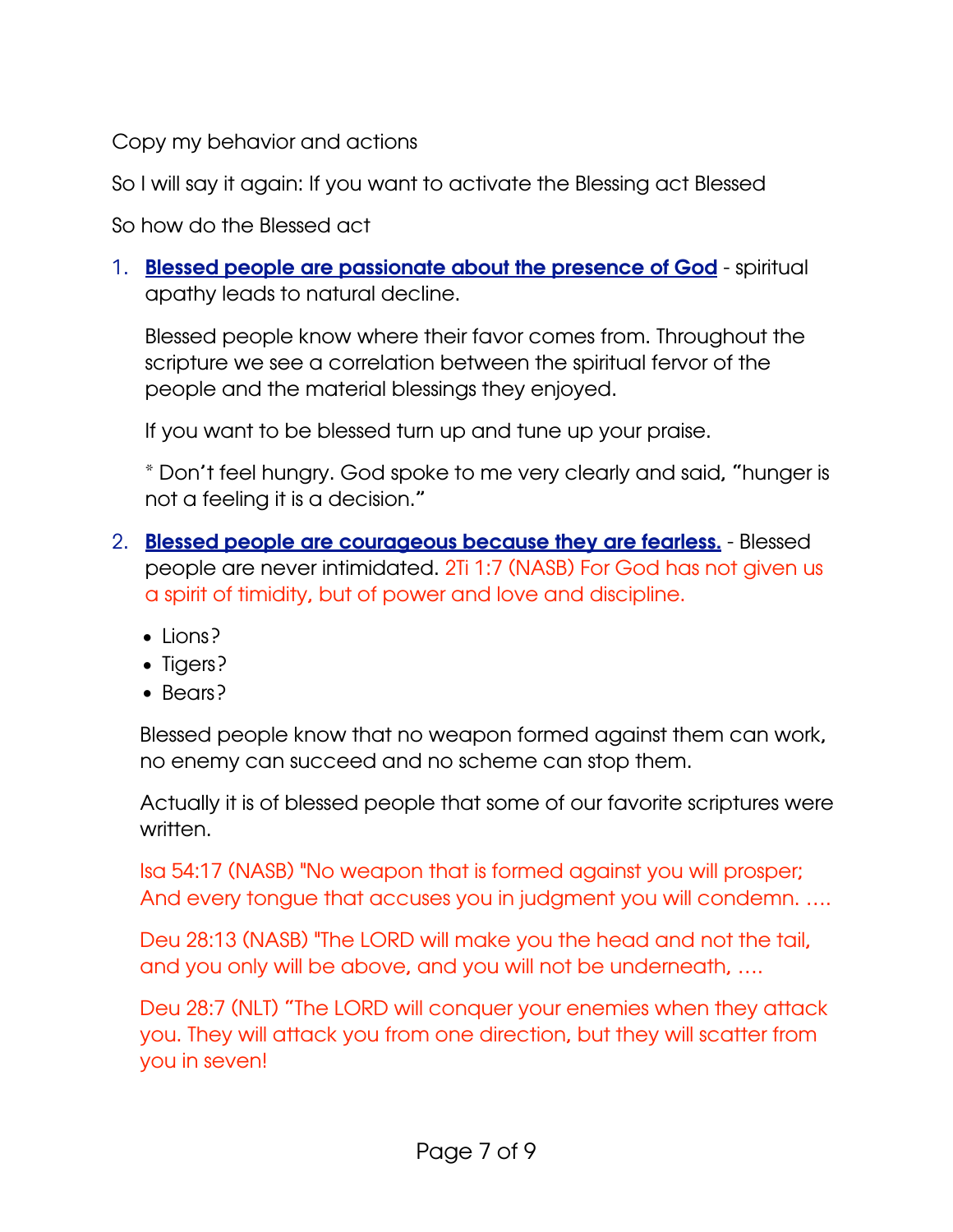Copy my behavior and actions

So I will say it again: If you want to activate the Blessing act Blessed

So how do the Blessed act

### 1. **Blessed people are passionate about the presence of God** - spiritual apathy leads to natural decline.

Blessed people know where their favor comes from. Throughout the scripture we see a correlation between the spiritual fervor of the people and the material blessings they enjoyed.

If you want to be blessed turn up and tune up your praise.

\* Don't feel hungry. God spoke to me very clearly and said, "hunger is not a feeling it is a decision."

- 2. **Blessed people are courageous because they are fearless.** Blessed people are never intimidated. 2Ti 1:7 (NASB) For God has not given us a spirit of timidity, but of power and love and discipline.
	- Lions?
	- Tigers?
	- Bears?

Blessed people know that no weapon formed against them can work, no enemy can succeed and no scheme can stop them.

Actually it is of blessed people that some of our favorite scriptures were written.

Isa 54:17 (NASB) "No weapon that is formed against you will prosper; And every tongue that accuses you in judgment you will condemn. ….

Deu 28:13 (NASB) "The LORD will make you the head and not the tail, and you only will be above, and you will not be underneath, ….

Deu 28:7 (NLT) "The LORD will conquer your enemies when they attack you. They will attack you from one direction, but they will scatter from you in seven!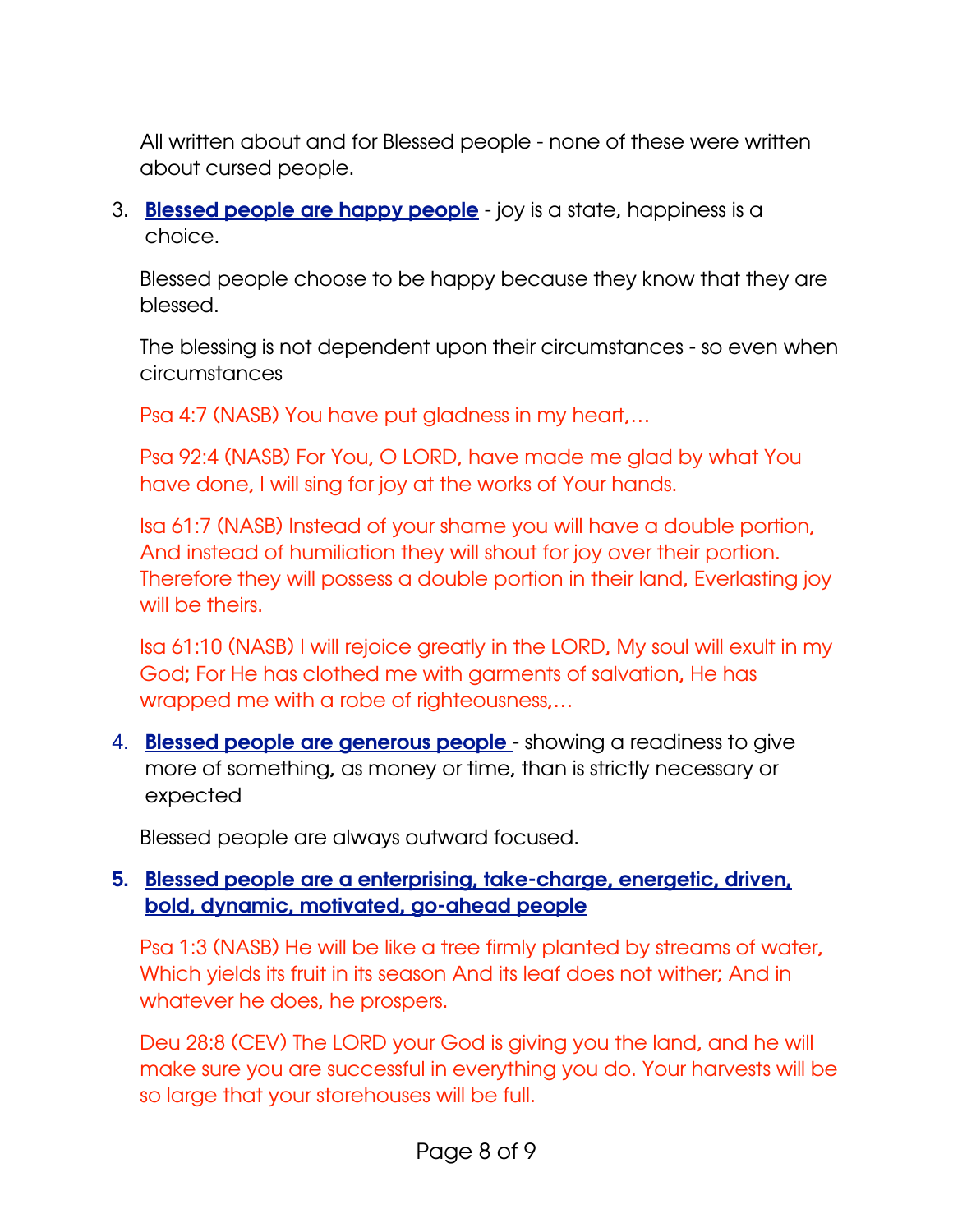All written about and for Blessed people - none of these were written about cursed people.

3. Blessed people are happy people - joy is a state, happiness is a choice.

Blessed people choose to be happy because they know that they are blessed.

The blessing is not dependent upon their circumstances - so even when circumstances

Psa 4:7 (NASB) You have put gladness in my heart,…

Psa 92:4 (NASB) For You, O LORD, have made me glad by what You have done, I will sing for joy at the works of Your hands.

Isa 61:7 (NASB) Instead of your shame you will have a double portion, And instead of humiliation they will shout for joy over their portion. Therefore they will possess a double portion in their land, Everlasting joy will be theirs.

Isa 61:10 (NASB) I will rejoice greatly in the LORD, My soul will exult in my God; For He has clothed me with garments of salvation, He has wrapped me with a robe of righteousness,…

4. **Blessed people are generous people** - showing a readiness to give more of something, as money or time, than is strictly necessary or expected

Blessed people are always outward focused.

### 5. Blessed people are a enterprising, take-charge, energetic, driven, bold, dynamic, motivated, go-ahead people

Psa 1:3 (NASB) He will be like a tree firmly planted by streams of water, Which yields its fruit in its season And its leaf does not wither; And in whatever he does, he prospers.

Deu 28:8 (CEV) The LORD your God is giving you the land, and he will make sure you are successful in everything you do. Your harvests will be so large that your storehouses will be full.